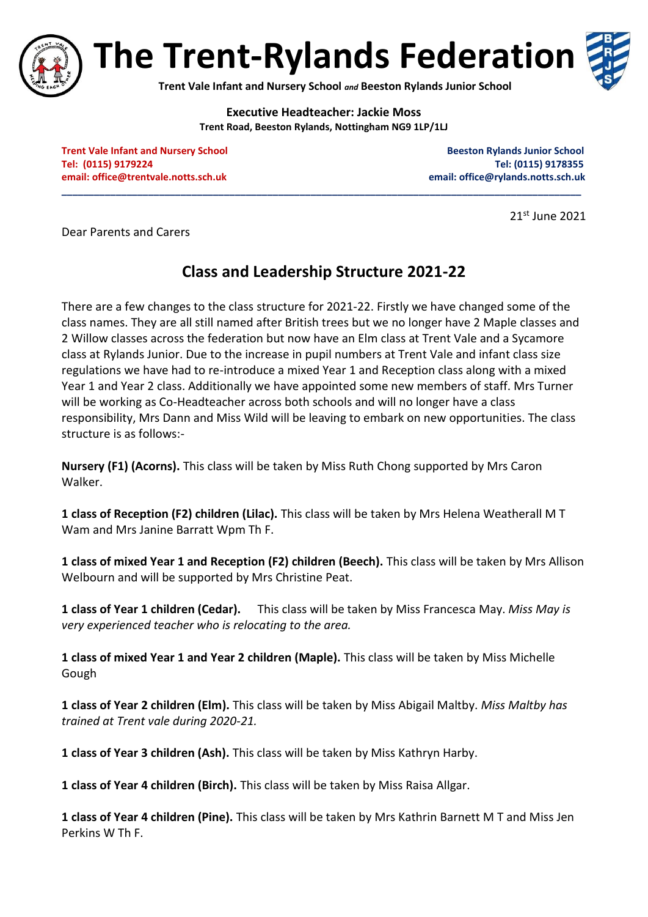

**The Trent-Rylands Federation**



**Trent Vale Infant and Nursery School** *and* **Beeston Rylands Junior School**

**Executive Headteacher: Jackie Moss Trent Road, Beeston Rylands, Nottingham NG9 1LP/1LJ**

**\_\_\_\_\_\_\_\_\_\_\_\_\_\_\_\_\_\_\_\_\_\_\_\_\_\_\_\_\_\_\_\_\_\_\_\_\_\_\_\_\_\_\_\_\_\_\_\_\_\_\_\_\_\_\_\_\_\_\_\_\_\_\_\_\_\_\_\_\_\_\_\_\_\_\_\_\_\_\_\_\_\_\_\_\_\_\_\_\_\_\_\_\_\_\_\_**

**Trent Vale Infant and Nursery School School Beeston Rylands Junior School Beeston Rylands Junior School Tel: (0115) 9179224 Tel: (0115) 9178355 email[: office@trentvale.notts.sch.uk](mailto:office@trentvale.notts.sch.uk) email: [office@rylands.notts.sch.uk](mailto:office@rylands.notts.sch.uk)**

21st June 2021

Dear Parents and Carers

## **Class and Leadership Structure 2021-22**

There are a few changes to the class structure for 2021-22. Firstly we have changed some of the class names. They are all still named after British trees but we no longer have 2 Maple classes and 2 Willow classes across the federation but now have an Elm class at Trent Vale and a Sycamore class at Rylands Junior. Due to the increase in pupil numbers at Trent Vale and infant class size regulations we have had to re-introduce a mixed Year 1 and Reception class along with a mixed Year 1 and Year 2 class. Additionally we have appointed some new members of staff. Mrs Turner will be working as Co-Headteacher across both schools and will no longer have a class responsibility, Mrs Dann and Miss Wild will be leaving to embark on new opportunities. The class structure is as follows:-

**Nursery (F1) (Acorns).** This class will be taken by Miss Ruth Chong supported by Mrs Caron Walker.

**1 class of Reception (F2) children (Lilac).** This class will be taken by Mrs Helena Weatherall M T Wam and Mrs Janine Barratt Wpm Th F.

**1 class of mixed Year 1 and Reception (F2) children (Beech).** This class will be taken by Mrs Allison Welbourn and will be supported by Mrs Christine Peat.

**1 class of Year 1 children (Cedar).** This class will be taken by Miss Francesca May. *Miss May is very experienced teacher who is relocating to the area.*

**1 class of mixed Year 1 and Year 2 children (Maple).** This class will be taken by Miss Michelle Gough

**1 class of Year 2 children (Elm).** This class will be taken by Miss Abigail Maltby. *Miss Maltby has trained at Trent vale during 2020-21.*

**1 class of Year 3 children (Ash).** This class will be taken by Miss Kathryn Harby.

**1 class of Year 4 children (Birch).** This class will be taken by Miss Raisa Allgar.

**1 class of Year 4 children (Pine).** This class will be taken by Mrs Kathrin Barnett M T and Miss Jen Perkins W Th F.